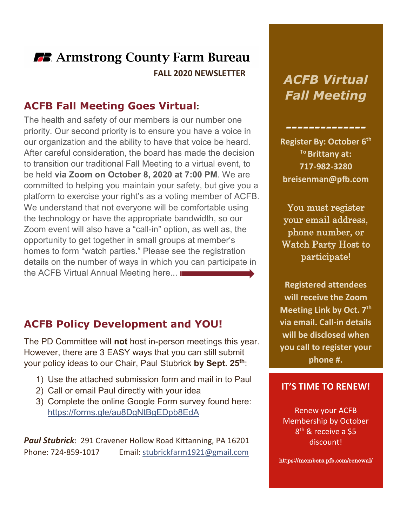### **FB.** Armstrong County Farm Bureau  **FALL 2020 NEWSLETTER**

#### **ACFB Fall Meeting Goes Virtual:**

The health and safety of our members is our number one priority. Our second priority is to ensure you have a voice in our organization and the ability to have that voice be heard. After careful consideration, the board has made the decision to transition our traditional Fall Meeting to a virtual event, to be held **via Zoom on October 8, 2020 at 7:00 PM**. We are committed to helping you maintain your safety, but give you a platform to exercise your right's as a voting member of ACFB. We understand that not everyone will be comfortable using the technology or have the appropriate bandwidth, so our Zoom event will also have a "call-in" option, as well as, the opportunity to get together in small groups at member's homes to form "watch parties." Please see the registration details on the number of ways in which you can participate in the ACFB Virtual Annual Meeting here...

#### **ACFB Policy Development and YOU!**

The PD Committee will **not** host in-person meetings this year. However, there are 3 EASY ways that you can still submit your policy ideas to our Chair, Paul Stubrick **by Sept. 25th**:

- 1) Use the attached submission form and mail in to Paul
- 2) Call or email Paul directly with your idea
- 3) Complete the online Google Form survey found here: <https://forms.gle/au8DgNtBgEDpb8EdA>

*Paul Stubrick*: 291 Cravener Hollow Road Kittanning, PA 16201 Phone: 724-859-1017 Email: [stubrickfarm1921@gmail.com](mailto:stubrickfarm1921@gmail.com)

## *ACFB Virtual Fall Meeting*

*--------------*

**Register By: October 6th To Brittany at: 717-982-3280 breisenman@pfb.com**

You must register your email address, phone number, or Watch Party Host to participate!

**Registered attendees will receive the Zoom Meeting Link by Oct. 7th via email. Call-in details will be disclosed when you call to register your phone #.** 

#### **IT'S TIME TO RENEW!**

Renew your ACFB Membership by October 8<sup>th</sup> & receive a \$5 discount!

https://members.pfb.com/renewal/